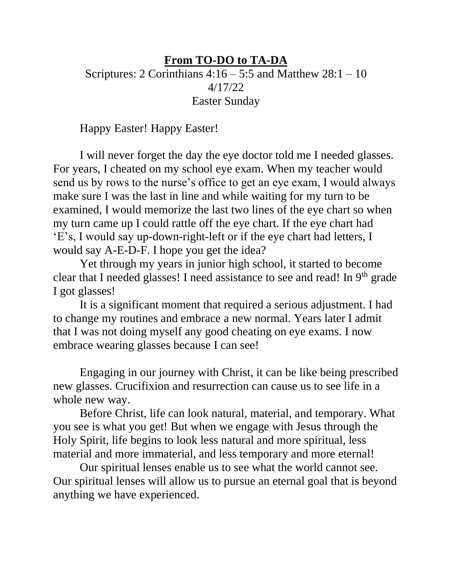## **From TO-DO to TA-DA** Scriptures: 2 Corinthians  $4:16 - 5:5$  and Matthew  $28:1 - 10$ 4/17/22 Easter Sunday

Happy Easter! Happy Easter!

I will never forget the day the eye doctor told me I needed glasses. For years, I cheated on my school eye exam. When my teacher would send us by rows to the nurse's office to get an eye exam, I would always make sure I was the last in line and while waiting for my turn to be examined, I would memorize the last two lines of the eye chart so when my turn came up I could rattle off the eye chart. If the eye chart had 'E's, I would say up-down-right-left or if the eye chart had letters, I would say A-E-D-F. I hope you get the idea?

Yet through my years in junior high school, it started to become clear that I needed glasses! I need assistance to see and read! In  $9<sup>th</sup>$  grade I got glasses!

It is a significant moment that required a serious adjustment. I had to change my routines and embrace a new normal. Years later I admit that I was not doing myself any good cheating on eye exams. I now embrace wearing glasses because I can see!

Engaging in our journey with Christ, it can be like being prescribed new glasses. Crucifixion and resurrection can cause us to see life in a whole new way.

Before Christ, life can look natural, material, and temporary. What you see is what you get! But when we engage with Jesus through the Holy Spirit, life begins to look less natural and more spiritual, less material and more immaterial, and less temporary and more eternal!

Our spiritual lenses enable us to see what the world cannot see. Our spiritual lenses will allow us to pursue an eternal goal that is beyond anything we have experienced.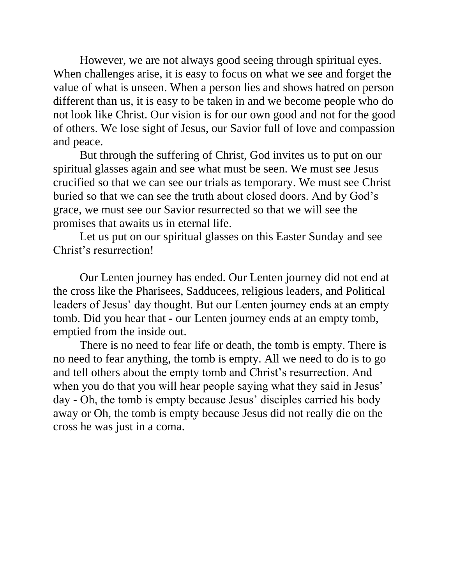However, we are not always good seeing through spiritual eyes. When challenges arise, it is easy to focus on what we see and forget the value of what is unseen. When a person lies and shows hatred on person different than us, it is easy to be taken in and we become people who do not look like Christ. Our vision is for our own good and not for the good of others. We lose sight of Jesus, our Savior full of love and compassion and peace.

But through the suffering of Christ, God invites us to put on our spiritual glasses again and see what must be seen. We must see Jesus crucified so that we can see our trials as temporary. We must see Christ buried so that we can see the truth about closed doors. And by God's grace, we must see our Savior resurrected so that we will see the promises that awaits us in eternal life.

Let us put on our spiritual glasses on this Easter Sunday and see Christ's resurrection!

Our Lenten journey has ended. Our Lenten journey did not end at the cross like the Pharisees, Sadducees, religious leaders, and Political leaders of Jesus' day thought. But our Lenten journey ends at an empty tomb. Did you hear that - our Lenten journey ends at an empty tomb, emptied from the inside out.

There is no need to fear life or death, the tomb is empty. There is no need to fear anything, the tomb is empty. All we need to do is to go and tell others about the empty tomb and Christ's resurrection. And when you do that you will hear people saying what they said in Jesus' day - Oh, the tomb is empty because Jesus' disciples carried his body away or Oh, the tomb is empty because Jesus did not really die on the cross he was just in a coma.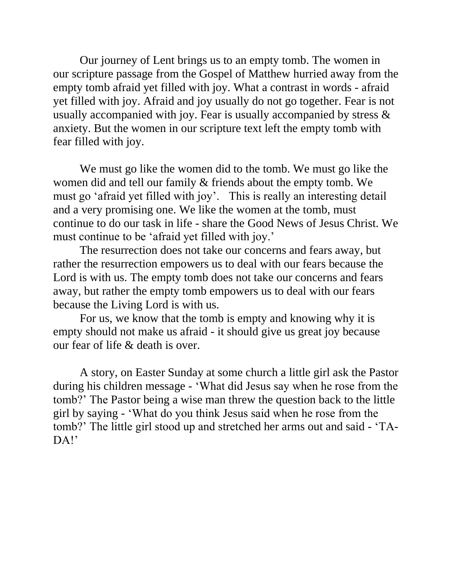Our journey of Lent brings us to an empty tomb. The women in our scripture passage from the Gospel of Matthew hurried away from the empty tomb afraid yet filled with joy. What a contrast in words - afraid yet filled with joy. Afraid and joy usually do not go together. Fear is not usually accompanied with joy. Fear is usually accompanied by stress  $\&$ anxiety. But the women in our scripture text left the empty tomb with fear filled with joy.

We must go like the women did to the tomb. We must go like the women did and tell our family & friends about the empty tomb. We must go 'afraid yet filled with joy'. This is really an interesting detail and a very promising one. We like the women at the tomb, must continue to do our task in life - share the Good News of Jesus Christ. We must continue to be 'afraid yet filled with joy.'

The resurrection does not take our concerns and fears away, but rather the resurrection empowers us to deal with our fears because the Lord is with us. The empty tomb does not take our concerns and fears away, but rather the empty tomb empowers us to deal with our fears because the Living Lord is with us.

For us, we know that the tomb is empty and knowing why it is empty should not make us afraid - it should give us great joy because our fear of life & death is over.

A story, on Easter Sunday at some church a little girl ask the Pastor during his children message - 'What did Jesus say when he rose from the tomb?' The Pastor being a wise man threw the question back to the little girl by saying - 'What do you think Jesus said when he rose from the tomb?' The little girl stood up and stretched her arms out and said - 'TA-DA!'